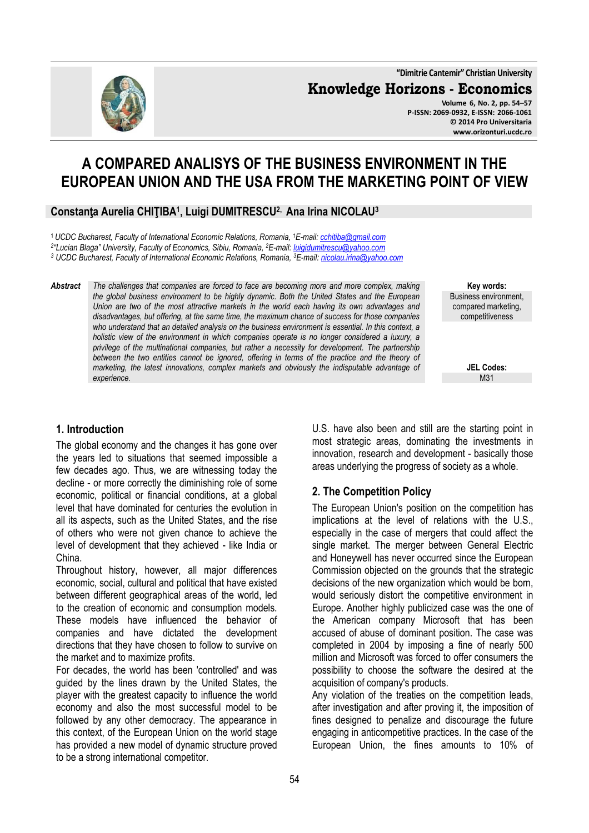**"Dimitrie Cantemir" Christian University Knowledge Horizons - Economics Volume 6, No. 2, pp. 54–57** 

**P-ISSN: 2069-0932, E-ISSN: 2066-1061 © 2014 Pro Universitaria www.orizonturi.ucdc.ro**

# **A COMPARED ANALISYS OF THE BUSINESS ENVIRONMENT IN THE EUROPEAN UNION AND THE USA FROM THE MARKETING POINT OF VIEW**

#### **Constanţa Aurelia CHIŢIBA<sup>1</sup> , Luigi DUMITRESCU2, Ana Irina NICOLAU<sup>3</sup>**

<sup>1</sup>*UCDC Bucharest, Faculty of International Economic Relations, Romania, <sup>1</sup>E-mail: cchitiba@gmail.com*

*2 "Lucian Blaga" University, Faculty of Economics, Sibiu, Romania, <sup>2</sup>E-mail: luigidumitrescu@yahoo.com* 

*3 UCDC Bucharest, Faculty of International Economic Relations, Romania, <sup>3</sup>E-mail: nicolau.irina@yahoo.com* 

*Abstract The challenges that companies are forced to face are becoming more and more complex, making the global business environment to be highly dynamic. Both the United States and the European Union are two of the most attractive markets in the world each having its own advantages and disadvantages, but offering, at the same time, the maximum chance of success for those companies who understand that an detailed analysis on the business environment is essential. In this context, a holistic view of the environment in which companies operate is no longer considered a luxury, a privilege of the multinational companies, but rather a necessity for development. The partnership between the two entities cannot be ignored, offering in terms of the practice and the theory of marketing, the latest innovations, complex markets and obviously the indisputable advantage of experience.* 

**Key words:** Business environment, compared marketing, competitiveness

> **JEL Codes:** M31

### **1. Introduction**

The global economy and the changes it has gone over the years led to situations that seemed impossible a few decades ago. Thus, we are witnessing today the decline - or more correctly the diminishing role of some economic, political or financial conditions, at a global level that have dominated for centuries the evolution in all its aspects, such as the United States, and the rise of others who were not given chance to achieve the level of development that they achieved - like India or China.

Throughout history, however, all major differences economic, social, cultural and political that have existed between different geographical areas of the world, led to the creation of economic and consumption models. These models have influenced the behavior of companies and have dictated the development directions that they have chosen to follow to survive on the market and to maximize profits.

For decades, the world has been 'controlled' and was guided by the lines drawn by the United States, the player with the greatest capacity to influence the world economy and also the most successful model to be followed by any other democracy. The appearance in this context, of the European Union on the world stage has provided a new model of dynamic structure proved to be a strong international competitor.

U.S. have also been and still are the starting point in most strategic areas, dominating the investments in innovation, research and development - basically those areas underlying the progress of society as a whole.

## **2. The Competition Policy**

The European Union's position on the competition has implications at the level of relations with the U.S., especially in the case of mergers that could affect the single market. The merger between General Electric and Honeywell has never occurred since the European Commission objected on the grounds that the strategic decisions of the new organization which would be born, would seriously distort the competitive environment in Europe. Another highly publicized case was the one of the American company Microsoft that has been accused of abuse of dominant position. The case was completed in 2004 by imposing a fine of nearly 500 million and Microsoft was forced to offer consumers the possibility to choose the software the desired at the acquisition of company's products.

Any violation of the treaties on the competition leads, after investigation and after proving it, the imposition of fines designed to penalize and discourage the future engaging in anticompetitive practices. In the case of the European Union, the fines amounts to 10% of

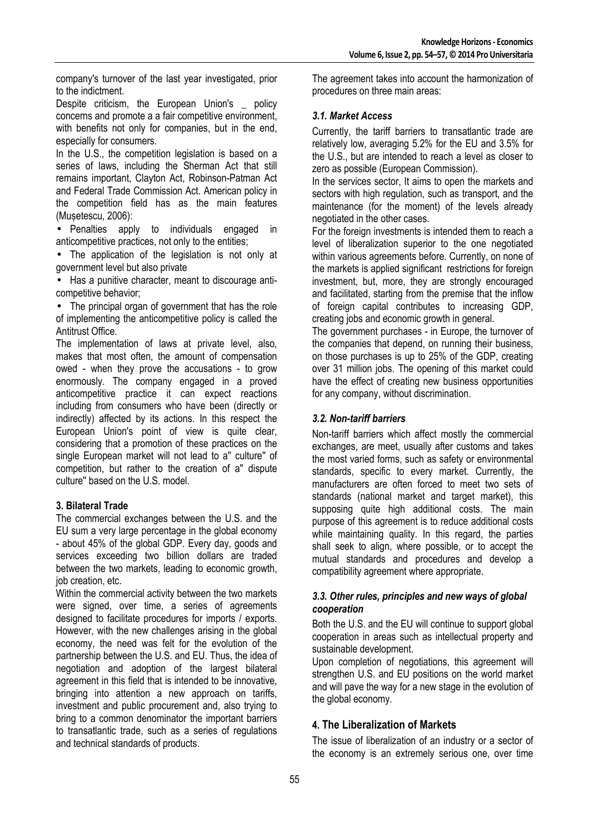company's turnover of the last year investigated, prior to the indictment.

Despite criticism, the European Union's policy concerns and promote a a fair competitive environment, with benefits not only for companies, but in the end, especially for consumers.

In the U.S., the competition legislation is based on a series of laws, including the Sherman Act that still remains important, Clayton Act, Robinson-Patman Act and Federal Trade Commission Act. American policy in the competition field has as the main features (Mușetescu, 2006):

• Penalties apply to individuals engaged in anticompetitive practices, not only to the entities;

• The application of the legislation is not only at government level but also private

• Has a punitive character, meant to discourage anticompetitive behavior;

• The principal organ of government that has the role of implementing the anticompetitive policy is called the Antitrust Office.

The implementation of laws at private level, also, makes that most often, the amount of compensation owed - when they prove the accusations - to grow enormously. The company engaged in a proved anticompetitive practice it can expect reactions including from consumers who have been (directly or indirectly) affected by its actions. In this respect the European Union's point of view is quite clear, considering that a promotion of these practices on the single European market will not lead to a'' culture'' of competition, but rather to the creation of a'' dispute culture'' based on the U.S. model.

### **3. Bilateral Trade**

The commercial exchanges between the U.S. and the EU sum a very large percentage in the global economy - about 45% of the global GDP. Every day, goods and services exceeding two billion dollars are traded between the two markets, leading to economic growth, job creation, etc.

Within the commercial activity between the two markets were signed, over time, a series of agreements designed to facilitate procedures for imports / exports. However, with the new challenges arising in the global economy, the need was felt for the evolution of the partnership between the U.S. and EU. Thus, the idea of negotiation and adoption of the largest bilateral agreement in this field that is intended to be innovative, bringing into attention a new approach on tariffs, investment and public procurement and, also trying to bring to a common denominator the important barriers to transatlantic trade, such as a series of regulations and technical standards of products.

The agreement takes into account the harmonization of procedures on three main areas:

#### *3.1. Market Access*

Currently, the tariff barriers to transatlantic trade are relatively low, averaging 5.2% for the EU and 3.5% for the U.S., but are intended to reach a level as closer to zero as possible (European Commission).

In the services sector, It aims to open the markets and sectors with high regulation, such as transport, and the maintenance (for the moment) of the levels already negotiated in the other cases.

For the foreign investments is intended them to reach a level of liberalization superior to the one negotiated within various agreements before. Currently, on none of the markets is applied significant restrictions for foreign investment, but, more, they are strongly encouraged and facilitated, starting from the premise that the inflow of foreign capital contributes to increasing GDP, creating jobs and economic growth in general.

The government purchases - in Europe, the turnover of the companies that depend, on running their business, on those purchases is up to 25% of the GDP, creating over 31 million jobs. The opening of this market could have the effect of creating new business opportunities for any company, without discrimination.

### *3.2. Non-tariff barriers*

Non-tariff barriers which affect mostly the commercial exchanges, are meet, usually after customs and takes the most varied forms, such as safety or environmental standards, specific to every market. Currently, the manufacturers are often forced to meet two sets of standards (national market and target market), this supposing quite high additional costs. The main purpose of this agreement is to reduce additional costs while maintaining quality. In this regard, the parties shall seek to align, where possible, or to accept the mutual standards and procedures and develop a compatibility agreement where appropriate.

#### *3.3. Other rules, principles and new ways of global cooperation*

Both the U.S. and the EU will continue to support global cooperation in areas such as intellectual property and sustainable development.

Upon completion of negotiations, this agreement will strengthen U.S. and EU positions on the world market and will pave the way for a new stage in the evolution of the global economy.

## **4. The Liberalization of Markets**

The issue of liberalization of an industry or a sector of the economy is an extremely serious one, over time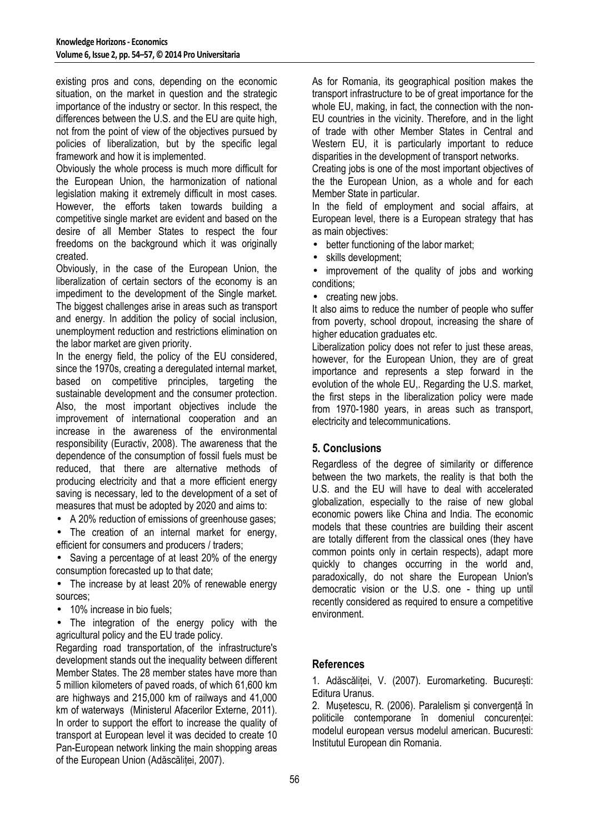existing pros and cons, depending on the economic situation, on the market in question and the strategic importance of the industry or sector. In this respect, the differences between the U.S. and the EU are quite high, not from the point of view of the objectives pursued by policies of liberalization, but by the specific legal framework and how it is implemented.

Obviously the whole process is much more difficult for the European Union, the harmonization of national legislation making it extremely difficult in most cases. However, the efforts taken towards building a competitive single market are evident and based on the desire of all Member States to respect the four freedoms on the background which it was originally created.

Obviously, in the case of the European Union, the liberalization of certain sectors of the economy is an impediment to the development of the Single market. The biggest challenges arise in areas such as transport and energy. In addition the policy of social inclusion, unemployment reduction and restrictions elimination on the labor market are given priority.

In the energy field, the policy of the EU considered, since the 1970s, creating a deregulated internal market, based on competitive principles, targeting the sustainable development and the consumer protection. Also, the most important objectives include the improvement of international cooperation and an increase in the awareness of the environmental responsibility (Euractiv, 2008). The awareness that the dependence of the consumption of fossil fuels must be reduced, that there are alternative methods of producing electricity and that a more efficient energy saving is necessary, led to the development of a set of measures that must be adopted by 2020 and aims to:

• A 20% reduction of emissions of greenhouse gases;

• The creation of an internal market for energy, efficient for consumers and producers / traders;

• Saving a percentage of at least 20% of the energy consumption forecasted up to that date;

• The increase by at least 20% of renewable energy sources;

• 10% increase in bio fuels;

• The integration of the energy policy with the agricultural policy and the EU trade policy.

Regarding road transportation, of the infrastructure's development stands out the inequality between different Member States. The 28 member states have more than 5 million kilometers of paved roads, of which 61,600 km are highways and 215,000 km of railways and 41,000 km of waterways (Ministerul Afacerilor Externe, 2011). In order to support the effort to increase the quality of transport at European level it was decided to create 10 Pan-European network linking the main shopping areas of the European Union (Adăscăliței, 2007).

As for Romania, its geographical position makes the transport infrastructure to be of great importance for the whole EU, making, in fact, the connection with the non-EU countries in the vicinity. Therefore, and in the light of trade with other Member States in Central and Western EU, it is particularly important to reduce disparities in the development of transport networks.

Creating jobs is one of the most important objectives of the the European Union, as a whole and for each Member State in particular.

In the field of employment and social affairs, at European level, there is a European strategy that has as main objectives:

• better functioning of the labor market;

skills development:

• improvement of the quality of jobs and working conditions;

• creating new jobs.

It also aims to reduce the number of people who suffer from poverty, school dropout, increasing the share of higher education graduates etc.

Liberalization policy does not refer to just these areas. however, for the European Union, they are of great importance and represents a step forward in the evolution of the whole EU,. Regarding the U.S. market, the first steps in the liberalization policy were made from 1970-1980 years, in areas such as transport, electricity and telecommunications.

## **5. Conclusions**

Regardless of the degree of similarity or difference between the two markets, the reality is that both the U.S. and the EU will have to deal with accelerated globalization, especially to the raise of new global economic powers like China and India. The economic models that these countries are building their ascent are totally different from the classical ones (they have common points only in certain respects), adapt more quickly to changes occurring in the world and, paradoxically, do not share the European Union's democratic vision or the U.S. one - thing up until recently considered as required to ensure a competitive environment.

### **References**

1. Adăscăliței, V. (2007). Euromarketing. București: Editura Uranus.

2. Musetescu, R. (2006). Paralelism și convergență în politicile contemporane în domeniul concurenței: modelul european versus modelul american. Bucuresti: Institutul European din Romania.